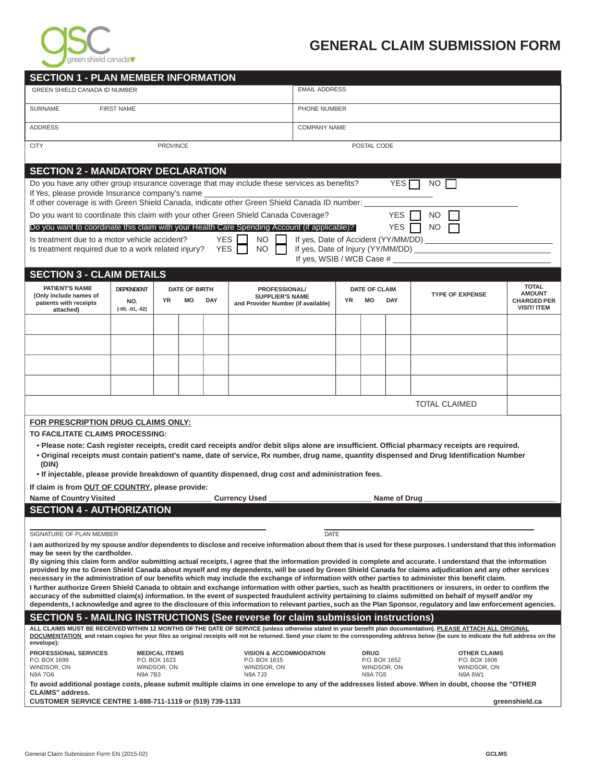

## **GENERAL CLAIM SUBMISSION FORM**

| <b>SECTION 1 - PLAN MEMBER INFORMATION</b>                                                                                                                                                                                                                                                                                                                    |                                                                                                                                                                                               |                              |  |  |                                                |                                                     |                      |                               |                                                                           |                                                                                                                                                         |                |  |
|---------------------------------------------------------------------------------------------------------------------------------------------------------------------------------------------------------------------------------------------------------------------------------------------------------------------------------------------------------------|-----------------------------------------------------------------------------------------------------------------------------------------------------------------------------------------------|------------------------------|--|--|------------------------------------------------|-----------------------------------------------------|----------------------|-------------------------------|---------------------------------------------------------------------------|---------------------------------------------------------------------------------------------------------------------------------------------------------|----------------|--|
| <b>GREEN SHIELD CANADA ID NUMBER</b>                                                                                                                                                                                                                                                                                                                          |                                                                                                                                                                                               |                              |  |  |                                                |                                                     | <b>EMAIL ADDRESS</b> |                               |                                                                           |                                                                                                                                                         |                |  |
| SURNAME<br><b>FIRST NAME</b>                                                                                                                                                                                                                                                                                                                                  |                                                                                                                                                                                               |                              |  |  |                                                |                                                     | PHONE NUMBER         |                               |                                                                           |                                                                                                                                                         |                |  |
| <b>ADDRESS</b>                                                                                                                                                                                                                                                                                                                                                |                                                                                                                                                                                               |                              |  |  |                                                |                                                     | <b>COMPANY NAME</b>  |                               |                                                                           |                                                                                                                                                         |                |  |
| <b>CITY</b><br><b>PROVINCE</b>                                                                                                                                                                                                                                                                                                                                |                                                                                                                                                                                               |                              |  |  |                                                |                                                     | POSTAL CODE          |                               |                                                                           |                                                                                                                                                         |                |  |
| <b>SECTION 2 - MANDATORY DECLARATION</b>                                                                                                                                                                                                                                                                                                                      |                                                                                                                                                                                               |                              |  |  |                                                |                                                     |                      |                               |                                                                           |                                                                                                                                                         |                |  |
| Do you have any other group insurance coverage that may include these services as benefits?<br>YES <sub>[</sub><br>NO .<br>If Yes, please provide Insurance company's name                                                                                                                                                                                    |                                                                                                                                                                                               |                              |  |  |                                                |                                                     |                      |                               |                                                                           |                                                                                                                                                         |                |  |
| If other coverage is with Green Shield Canada, indicate other Green Shield Canada ID number:                                                                                                                                                                                                                                                                  |                                                                                                                                                                                               |                              |  |  |                                                |                                                     |                      |                               |                                                                           |                                                                                                                                                         |                |  |
| Do you want to coordinate this claim with your other Green Shield Canada Coverage?<br>YES<br>NO.<br>Do you want to coordinate this claim with your Health Care Spending Account (if applicable)?<br><b>YES</b><br>NO.                                                                                                                                         |                                                                                                                                                                                               |                              |  |  |                                                |                                                     |                      |                               |                                                                           |                                                                                                                                                         |                |  |
| <b>YES</b><br>Is treatment due to a motor vehicle accident?<br>NO.<br>If yes, Date of Accident (YY/MM/DD)                                                                                                                                                                                                                                                     |                                                                                                                                                                                               |                              |  |  |                                                |                                                     |                      |                               |                                                                           |                                                                                                                                                         |                |  |
| <b>YES</b><br>If yes, Date of Injury (YY/MM/DD) _________<br>NO <sub>1</sub><br>Is treatment required due to a work related injury?<br>If yes, WSIB / WCB Case #                                                                                                                                                                                              |                                                                                                                                                                                               |                              |  |  |                                                |                                                     |                      |                               |                                                                           |                                                                                                                                                         |                |  |
| <b>SECTION 3 - CLAIM DETAILS</b>                                                                                                                                                                                                                                                                                                                              |                                                                                                                                                                                               |                              |  |  |                                                |                                                     |                      |                               |                                                                           |                                                                                                                                                         |                |  |
| <b>PATIENT'S NAME</b><br>(Only include names of<br>patients with receipts<br>attached)                                                                                                                                                                                                                                                                        | <b>DEPENDENT</b><br><b>DATE OF BIRTH</b><br><b>PROFESSIONAL/</b><br><b>SUPPLIER'S NAME</b><br><b>YR</b><br>MO<br><b>DAY</b><br>NO.<br>and Provider Number (if available)<br>$(-00, -01, -02)$ |                              |  |  | <b>YR</b>                                      | <b>DATE OF CLAIM</b><br>МO                          | <b>DAY</b>           | <b>TYPE OF EXPENSE</b>        | <b>TOTAL</b><br><b>AMOUNT</b><br><b>CHARGED PER</b><br><b>VISIT/ ITEM</b> |                                                                                                                                                         |                |  |
|                                                                                                                                                                                                                                                                                                                                                               |                                                                                                                                                                                               |                              |  |  |                                                |                                                     |                      |                               |                                                                           |                                                                                                                                                         |                |  |
|                                                                                                                                                                                                                                                                                                                                                               |                                                                                                                                                                                               |                              |  |  |                                                |                                                     |                      |                               |                                                                           |                                                                                                                                                         |                |  |
|                                                                                                                                                                                                                                                                                                                                                               |                                                                                                                                                                                               |                              |  |  |                                                |                                                     |                      |                               |                                                                           |                                                                                                                                                         |                |  |
|                                                                                                                                                                                                                                                                                                                                                               |                                                                                                                                                                                               |                              |  |  |                                                |                                                     |                      |                               |                                                                           |                                                                                                                                                         |                |  |
|                                                                                                                                                                                                                                                                                                                                                               |                                                                                                                                                                                               |                              |  |  |                                                |                                                     |                      |                               |                                                                           | <b>TOTAL CLAIMED</b>                                                                                                                                    |                |  |
| FOR PRESCRIPTION DRUG CLAIMS ONLY:                                                                                                                                                                                                                                                                                                                            |                                                                                                                                                                                               |                              |  |  |                                                |                                                     |                      |                               |                                                                           |                                                                                                                                                         |                |  |
| TO FACILITATE CLAIMS PROCESSING:<br>• Please note: Cash register receipts, credit card receipts and/or debit slips alone are insufficient. Official pharmacy receipts are required.                                                                                                                                                                           |                                                                                                                                                                                               |                              |  |  |                                                |                                                     |                      |                               |                                                                           |                                                                                                                                                         |                |  |
| . Original receipts must contain patient's name, date of service, Rx number, drug name, quantity dispensed and Drug Identification Number<br>(DIN)                                                                                                                                                                                                            |                                                                                                                                                                                               |                              |  |  |                                                |                                                     |                      |                               |                                                                           |                                                                                                                                                         |                |  |
| . If injectable, please provide breakdown of quantity dispensed, drug cost and administration fees.<br>If claim is from OUT OF COUNTRY, please provide:                                                                                                                                                                                                       |                                                                                                                                                                                               |                              |  |  |                                                |                                                     |                      |                               |                                                                           |                                                                                                                                                         |                |  |
| <b>Name of Country Visited</b><br><b>Currency Used</b><br>Name of Drug                                                                                                                                                                                                                                                                                        |                                                                                                                                                                                               |                              |  |  |                                                |                                                     |                      |                               |                                                                           |                                                                                                                                                         |                |  |
| <b>SECTION 4 - AUTHORIZATION</b>                                                                                                                                                                                                                                                                                                                              |                                                                                                                                                                                               |                              |  |  |                                                |                                                     |                      |                               |                                                                           |                                                                                                                                                         |                |  |
| <b>DATE</b><br>SIGNATURE OF PLAN MEMBER                                                                                                                                                                                                                                                                                                                       |                                                                                                                                                                                               |                              |  |  |                                                |                                                     |                      |                               |                                                                           |                                                                                                                                                         |                |  |
| I am authorized by my spouse and/or dependents to disclose and receive information about them that is used for these purposes. I understand that this information                                                                                                                                                                                             |                                                                                                                                                                                               |                              |  |  |                                                |                                                     |                      |                               |                                                                           |                                                                                                                                                         |                |  |
| may be seen by the cardholder.<br>By signing this claim form and/or submitting actual receipts, I agree that the information provided is complete and accurate. I understand that the information<br>provided by me to Green Shield Canada about myself and my dependents, will be used by Green Shield Canada for claims adjudication and any other services |                                                                                                                                                                                               |                              |  |  |                                                |                                                     |                      |                               |                                                                           |                                                                                                                                                         |                |  |
| necessary in the administration of our benefits which may include the exchange of information with other parties to administer this benefit claim.                                                                                                                                                                                                            |                                                                                                                                                                                               |                              |  |  |                                                |                                                     |                      |                               |                                                                           |                                                                                                                                                         |                |  |
| I further authorize Green Shield Canada to obtain and exchange information with other parties, such as health practitioners or insurers, in order to confirm the<br>accuracy of the submitted claim(s) information. In the event of suspected fraudulent activity pertaining to claims submitted on behalf of myself and/or my                                |                                                                                                                                                                                               |                              |  |  |                                                |                                                     |                      |                               |                                                                           |                                                                                                                                                         |                |  |
| dependents, I acknowledge and agree to the disclosure of this information to relevant parties, such as the Plan Sponsor, regulatory and law enforcement agencies.<br><b>SECTION 5 - MAILING INSTRUCTIONS (See reverse for claim submission instructions)</b>                                                                                                  |                                                                                                                                                                                               |                              |  |  |                                                |                                                     |                      |                               |                                                                           |                                                                                                                                                         |                |  |
| ALL CLAIMS MUST BE RECEIVED WITHIN 12 MONTHS OF THE DATE OF SERVICE (unless otherwise stated in your benefit plan documentation). PLEASE ATTACH ALL ORIGINAL<br>DOCUMENTATION and retain copies for your files as original receipts will not be returned. Send your claim to the corresponding address below (be sure to indicate the full address on the     |                                                                                                                                                                                               |                              |  |  |                                                |                                                     |                      |                               |                                                                           |                                                                                                                                                         |                |  |
| envelope):<br><b>PROFESSIONAL SERVICES</b><br><b>MEDICAL ITEMS</b><br><b>VISION &amp; ACCOMMODATION</b>                                                                                                                                                                                                                                                       |                                                                                                                                                                                               |                              |  |  |                                                | <b>DRUG</b><br><b>OTHER CLAIMS</b><br>P.O. BOX 1652 |                      |                               |                                                                           |                                                                                                                                                         |                |  |
| P.O. BOX 1699<br>WINDSOR, ON<br><b>N9A 7G6</b>                                                                                                                                                                                                                                                                                                                | <b>N9A 7B3</b>                                                                                                                                                                                | P.O. BOX 1623<br>WINDSOR, ON |  |  | P.O. BOX 1615<br>WINDSOR, ON<br><b>N9A 7J3</b> |                                                     |                      | WINDSOR, ON<br><b>N9A 7G5</b> |                                                                           | P.O. BOX 1606<br>WINDSOR, ON<br>N9A 6W1                                                                                                                 |                |  |
| <b>CLAIMS"</b> address.                                                                                                                                                                                                                                                                                                                                       |                                                                                                                                                                                               |                              |  |  |                                                |                                                     |                      |                               |                                                                           | To avoid additional postage costs, please submit multiple claims in one envelope to any of the addresses listed above. When in doubt, choose the "OTHER |                |  |
| CUSTOMER SERVICE CENTRE 1-888-711-1119 or (519) 739-1133                                                                                                                                                                                                                                                                                                      |                                                                                                                                                                                               |                              |  |  |                                                |                                                     |                      |                               |                                                                           |                                                                                                                                                         | greenshield.ca |  |
|                                                                                                                                                                                                                                                                                                                                                               |                                                                                                                                                                                               |                              |  |  |                                                |                                                     |                      |                               |                                                                           |                                                                                                                                                         |                |  |